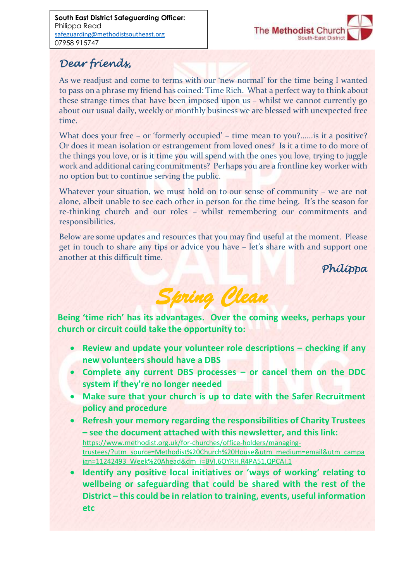

# *Dear friends,*

As we readjust and come to terms with our 'new normal' for the time being I wanted to pass on a phrase my friend has coined: Time Rich. What a perfect way to think about these strange times that have been imposed upon us – whilst we cannot currently go about our usual daily, weekly or monthly business we are blessed with unexpected free time.

What does your free – or 'formerly occupied' – time mean to you?......is it a positive? Or does it mean isolation or estrangement from loved ones? Is it a time to do more of the things you love, or is it time you will spend with the ones you love, trying to juggle work and additional caring commitments? Perhaps you are a frontline key worker with no option but to continue serving the public.

Whatever your situation, we must hold on to our sense of community – we are not alone, albeit unable to see each other in person for the time being. It's the season for re-thinking church and our roles – whilst remembering our commitments and responsibilities.

Below are some updates and resources that you may find useful at the moment. Please get in touch to share any tips or advice you have – let's share with and support one another at this difficult time.

*Philippa* 



**Being 'time rich' has its advantages. Over the coming weeks, perhaps your church or circuit could take the opportunity to:**

- **e** Review and update your volunteer role descriptions checking if any **new volunteers should have a DBS**
- **Complete any current DBS processes – or cancel them on the DDC system if they're no longer needed**
- **Make sure that your church is up to date with the Safer Recruitment policy and procedure**
- **Refresh your memory regarding the responsibilities of Charity Trustees – see the document attached with this newsletter, and this link:** https://www.methodist.org.uk/for-churches/office-holders/managingtrustees/?utm\_source=Methodist%20Church%20House&utm\_medium=email&utm\_campa ign=11242493\_Week%20Ahead&dm\_i=BVI,6OYRH,R4PA51,QPCAI,1
- **Identify any positive local initiatives or 'ways of working' relating to wellbeing or safeguarding that could be shared with the rest of the District – this could be in relation to training, events, useful information etc**